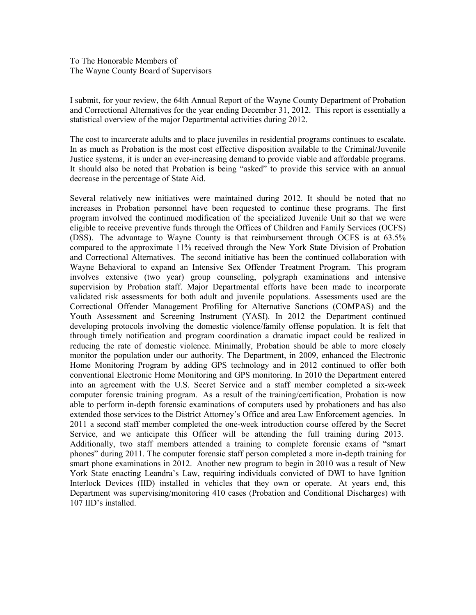I submit, for your review, the 64th Annual Report of the Wayne County Department of Probation and Correctional Alternatives for the year ending December 31, 2012. This report is essentially a statistical overview of the major Departmental activities during 2012.

The cost to incarcerate adults and to place juveniles in residential programs continues to escalate. In as much as Probation is the most cost effective disposition available to the Criminal/Juvenile Justice systems, it is under an ever-increasing demand to provide viable and affordable programs. It should also be noted that Probation is being "asked" to provide this service with an annual decrease in the percentage of State Aid.

Several relatively new initiatives were maintained during 2012. It should be noted that no increases in Probation personnel have been requested to continue these programs. The first program involved the continued modification of the specialized Juvenile Unit so that we were eligible to receive preventive funds through the Offices of Children and Family Services (OCFS) (DSS). The advantage to Wayne County is that reimbursement through OCFS is at 63.5% compared to the approximate 11% received through the New York State Division of Probation and Correctional Alternatives. The second initiative has been the continued collaboration with Wayne Behavioral to expand an Intensive Sex Offender Treatment Program. This program involves extensive (two year) group counseling, polygraph examinations and intensive supervision by Probation staff. Major Departmental efforts have been made to incorporate validated risk assessments for both adult and juvenile populations. Assessments used are the Correctional Offender Management Profiling for Alternative Sanctions (COMPAS) and the Youth Assessment and Screening Instrument (YASI). In 2012 the Department continued developing protocols involving the domestic violence/family offense population. It is felt that through timely notification and program coordination a dramatic impact could be realized in reducing the rate of domestic violence. Minimally, Probation should be able to more closely monitor the population under our authority. The Department, in 2009, enhanced the Electronic Home Monitoring Program by adding GPS technology and in 2012 continued to offer both conventional Electronic Home Monitoring and GPS monitoring. In 2010 the Department entered into an agreement with the U.S. Secret Service and a staff member completed a six-week computer forensic training program. As a result of the training/certification, Probation is now able to perform in-depth forensic examinations of computers used by probationers and has also extended those services to the District Attorney's Office and area Law Enforcement agencies. In 2011 a second staff member completed the one-week introduction course offered by the Secret Service, and we anticipate this Officer will be attending the full training during 2013. Additionally, two staff members attended a training to complete forensic exams of "smart phones" during 2011. The computer forensic staff person completed a more in-depth training for smart phone examinations in 2012. Another new program to begin in 2010 was a result of New York State enacting Leandra's Law, requiring individuals convicted of DWI to have Ignition Interlock Devices (IID) installed in vehicles that they own or operate. At years end, this Department was supervising/monitoring 410 cases (Probation and Conditional Discharges) with 107 IID's installed.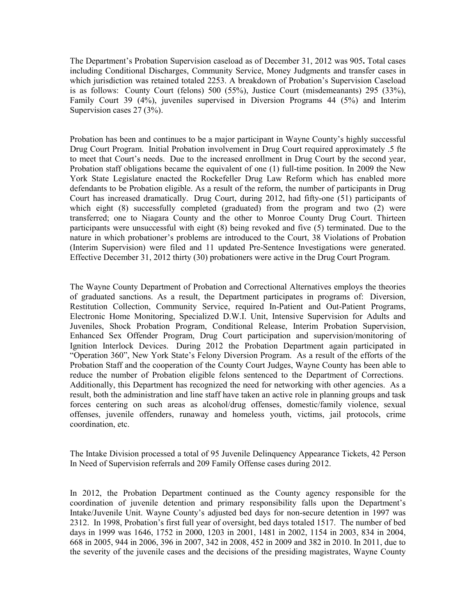The Department's Probation Supervision caseload as of December 31, 2012 was 905**.** Total cases including Conditional Discharges, Community Service, Money Judgments and transfer cases in which jurisdiction was retained totaled 2253. A breakdown of Probation's Supervision Caseload is as follows: County Court (felons) 500 (55%), Justice Court (misdemeanants) 295 (33%), Family Court 39 (4%), juveniles supervised in Diversion Programs 44 (5%) and Interim Supervision cases 27 (3%).

Probation has been and continues to be a major participant in Wayne County's highly successful Drug Court Program. Initial Probation involvement in Drug Court required approximately .5 fte to meet that Court's needs. Due to the increased enrollment in Drug Court by the second year, Probation staff obligations became the equivalent of one (1) full-time position. In 2009 the New York State Legislature enacted the Rockefeller Drug Law Reform which has enabled more defendants to be Probation eligible. As a result of the reform, the number of participants in Drug Court has increased dramatically. Drug Court, during 2012, had fifty-one (51) participants of which eight (8) successfully completed (graduated) from the program and two (2) were transferred; one to Niagara County and the other to Monroe County Drug Court. Thirteen participants were unsuccessful with eight (8) being revoked and five (5) terminated. Due to the nature in which probationer's problems are introduced to the Court, 38 Violations of Probation (Interim Supervision) were filed and 11 updated Pre-Sentence Investigations were generated. Effective December 31, 2012 thirty (30) probationers were active in the Drug Court Program.

The Wayne County Department of Probation and Correctional Alternatives employs the theories of graduated sanctions. As a result, the Department participates in programs of: Diversion, Restitution Collection, Community Service, required In-Patient and Out-Patient Programs, Electronic Home Monitoring, Specialized D.W.I. Unit, Intensive Supervision for Adults and Juveniles, Shock Probation Program, Conditional Release, Interim Probation Supervision, Enhanced Sex Offender Program, Drug Court participation and supervision/monitoring of Ignition Interlock Devices. During 2012 the Probation Department again participated in "Operation 360", New York State's Felony Diversion Program. As a result of the efforts of the Probation Staff and the cooperation of the County Court Judges, Wayne County has been able to reduce the number of Probation eligible felons sentenced to the Department of Corrections. Additionally, this Department has recognized the need for networking with other agencies. As a result, both the administration and line staff have taken an active role in planning groups and task forces centering on such areas as alcohol/drug offenses, domestic/family violence, sexual offenses, juvenile offenders, runaway and homeless youth, victims, jail protocols, crime coordination, etc.

The Intake Division processed a total of 95 Juvenile Delinquency Appearance Tickets, 42 Person In Need of Supervision referrals and 209 Family Offense cases during 2012.

In 2012, the Probation Department continued as the County agency responsible for the coordination of juvenile detention and primary responsibility falls upon the Department's Intake/Juvenile Unit. Wayne County's adjusted bed days for non-secure detention in 1997 was 2312. In 1998, Probation's first full year of oversight, bed days totaled 1517. The number of bed days in 1999 was 1646, 1752 in 2000, 1203 in 2001, 1481 in 2002, 1154 in 2003, 834 in 2004, 668 in 2005, 944 in 2006, 396 in 2007, 342 in 2008, 452 in 2009 and 382 in 2010. In 2011, due to the severity of the juvenile cases and the decisions of the presiding magistrates, Wayne County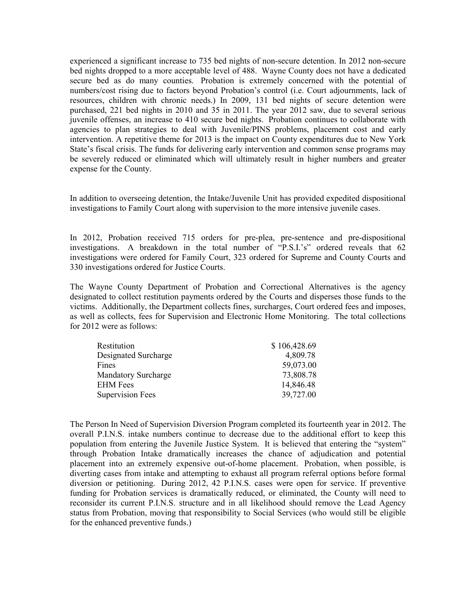experienced a significant increase to 735 bed nights of non-secure detention. In 2012 non-secure bed nights dropped to a more acceptable level of 488. Wayne County does not have a dedicated secure bed as do many counties. Probation is extremely concerned with the potential of numbers/cost rising due to factors beyond Probation's control (i.e. Court adjournments, lack of resources, children with chronic needs.) In 2009, 131 bed nights of secure detention were purchased, 221 bed nights in 2010 and 35 in 2011. The year 2012 saw, due to several serious juvenile offenses, an increase to 410 secure bed nights. Probation continues to collaborate with agencies to plan strategies to deal with Juvenile/PINS problems, placement cost and early intervention. A repetitive theme for 2013 is the impact on County expenditures due to New York State's fiscal crisis. The funds for delivering early intervention and common sense programs may be severely reduced or eliminated which will ultimately result in higher numbers and greater expense for the County.

In addition to overseeing detention, the Intake/Juvenile Unit has provided expedited dispositional investigations to Family Court along with supervision to the more intensive juvenile cases.

In 2012, Probation received 715 orders for pre-plea, pre-sentence and pre-dispositional investigations. A breakdown in the total number of "P.S.I.'s" ordered reveals that 62 investigations were ordered for Family Court, 323 ordered for Supreme and County Courts and 330 investigations ordered for Justice Courts.

The Wayne County Department of Probation and Correctional Alternatives is the agency designated to collect restitution payments ordered by the Courts and disperses those funds to the victims. Additionally, the Department collects fines, surcharges, Court ordered fees and imposes, as well as collects, fees for Supervision and Electronic Home Monitoring. The total collections for 2012 were as follows:

| Restitution                | \$106,428.69 |
|----------------------------|--------------|
| Designated Surcharge       | 4,809.78     |
| Fines                      | 59,073.00    |
| <b>Mandatory Surcharge</b> | 73,808.78    |
| <b>EHM</b> Fees            | 14,846.48    |
| <b>Supervision Fees</b>    | 39,727.00    |

The Person In Need of Supervision Diversion Program completed its fourteenth year in 2012. The overall P.I.N.S. intake numbers continue to decrease due to the additional effort to keep this population from entering the Juvenile Justice System. It is believed that entering the "system" through Probation Intake dramatically increases the chance of adjudication and potential placement into an extremely expensive out-of-home placement. Probation, when possible, is diverting cases from intake and attempting to exhaust all program referral options before formal diversion or petitioning. During 2012, 42 P.I.N.S. cases were open for service. If preventive funding for Probation services is dramatically reduced, or eliminated, the County will need to reconsider its current P.I.N.S. structure and in all likelihood should remove the Lead Agency status from Probation, moving that responsibility to Social Services (who would still be eligible for the enhanced preventive funds.)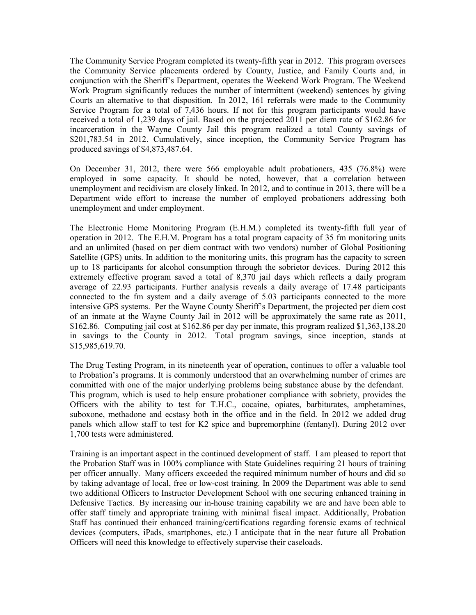The Community Service Program completed its twenty-fifth year in 2012. This program oversees the Community Service placements ordered by County, Justice, and Family Courts and, in conjunction with the Sheriff's Department, operates the Weekend Work Program. The Weekend Work Program significantly reduces the number of intermittent (weekend) sentences by giving Courts an alternative to that disposition. In 2012, 161 referrals were made to the Community Service Program for a total of 7,436 hours. If not for this program participants would have received a total of 1,239 days of jail. Based on the projected 2011 per diem rate of \$162.86 for incarceration in the Wayne County Jail this program realized a total County savings of \$201,783.54 in 2012. Cumulatively, since inception, the Community Service Program has produced savings of \$4,873,487.64.

On December 31, 2012, there were 566 employable adult probationers, 435 (76.8%) were employed in some capacity. It should be noted, however, that a correlation between unemployment and recidivism are closely linked. In 2012, and to continue in 2013, there will be a Department wide effort to increase the number of employed probationers addressing both unemployment and under employment.

The Electronic Home Monitoring Program (E.H.M.) completed its twenty-fifth full year of operation in 2012. The E.H.M. Program has a total program capacity of 35 fm monitoring units and an unlimited (based on per diem contract with two vendors) number of Global Positioning Satellite (GPS) units. In addition to the monitoring units, this program has the capacity to screen up to 18 participants for alcohol consumption through the sobrietor devices. During 2012 this extremely effective program saved a total of 8,370 jail days which reflects a daily program average of 22.93 participants. Further analysis reveals a daily average of 17.48 participants connected to the fm system and a daily average of 5.03 participants connected to the more intensive GPS systems. Per the Wayne County Sheriff's Department, the projected per diem cost of an inmate at the Wayne County Jail in 2012 will be approximately the same rate as 2011, \$162.86. Computing jail cost at \$162.86 per day per inmate, this program realized \$1,363,138.20 in savings to the County in 2012. Total program savings, since inception, stands at \$15,985,619.70.

The Drug Testing Program, in its nineteenth year of operation, continues to offer a valuable tool to Probation's programs. It is commonly understood that an overwhelming number of crimes are committed with one of the major underlying problems being substance abuse by the defendant. This program, which is used to help ensure probationer compliance with sobriety, provides the Officers with the ability to test for T.H.C., cocaine, opiates, barbiturates, amphetamines, suboxone, methadone and ecstasy both in the office and in the field. In 2012 we added drug panels which allow staff to test for K2 spice and bupremorphine (fentanyl). During 2012 over 1,700 tests were administered.

Training is an important aspect in the continued development of staff. I am pleased to report that the Probation Staff was in 100% compliance with State Guidelines requiring 21 hours of training per officer annually. Many officers exceeded the required minimum number of hours and did so by taking advantage of local, free or low-cost training. In 2009 the Department was able to send two additional Officers to Instructor Development School with one securing enhanced training in Defensive Tactics. By increasing our in-house training capability we are and have been able to offer staff timely and appropriate training with minimal fiscal impact. Additionally, Probation Staff has continued their enhanced training/certifications regarding forensic exams of technical devices (computers, iPads, smartphones, etc.) I anticipate that in the near future all Probation Officers will need this knowledge to effectively supervise their caseloads.